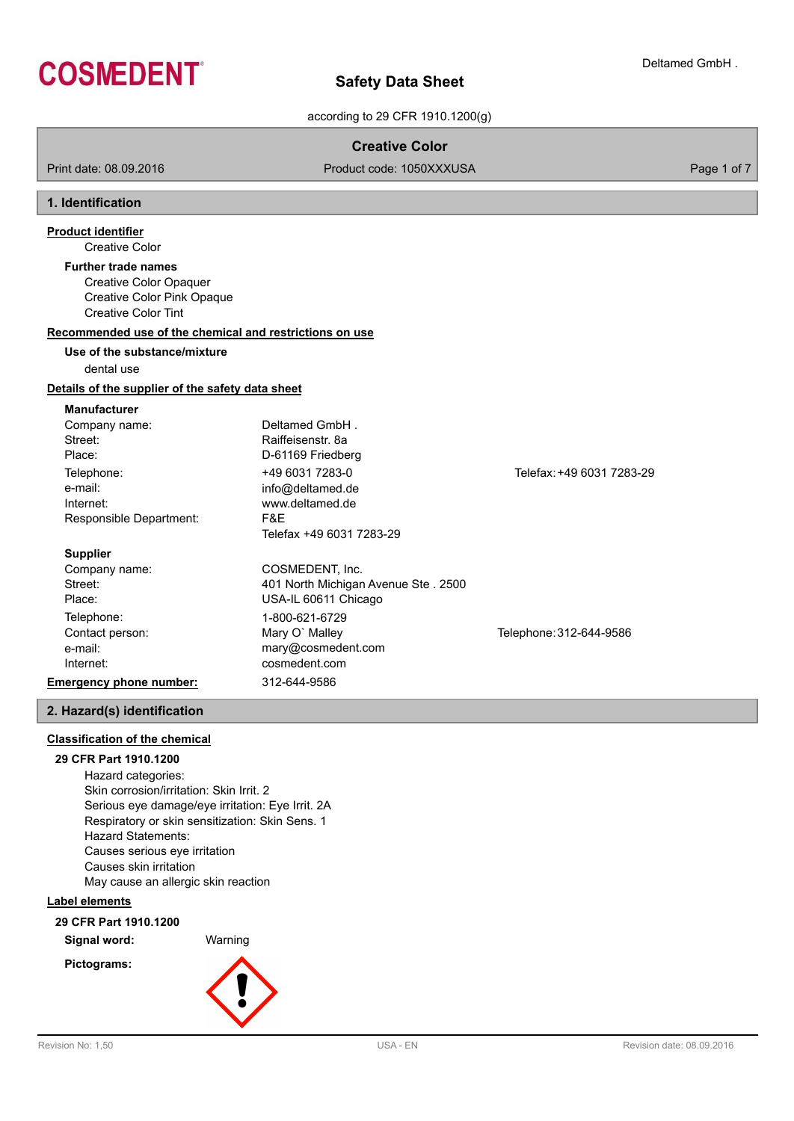

according to 29 CFR 1910.1200(g)

## **Creative Color**

Print date: 08.09.2016 **Product code: 1050XXXUSA** Product code: 1050XXXUSA

## **1. Identification**

## **Product identifier**

Creative Color

Creative Color Opaquer Creative Color Pink Opaque Creative Color Tint **Further trade names**

#### **Recommended use of the chemical and restrictions on use**

# **Use of the substance/mixture**

dental use

## **Details of the supplier of the safety data sheet**

**Manufacturer**

| Deltamed GmbH.                      |                           |
|-------------------------------------|---------------------------|
| Raiffeisenstr, 8a                   |                           |
| D-61169 Friedberg                   |                           |
| +49 6031 7283-0                     | Telefax: +49 6031 7283-29 |
| info@deltamed.de                    |                           |
| www.deltamed.de                     |                           |
| F&E.                                |                           |
| Telefax +49 6031 7283-29            |                           |
|                                     |                           |
| COSMEDENT. Inc.                     |                           |
| 401 North Michigan Avenue Ste. 2500 |                           |
| USA-IL 60611 Chicago                |                           |
| 1-800-621-6729                      |                           |
|                                     |                           |

Contact person: Telephone: 312-644-9586

**Emergency phone number:** 312-644-9586

## **2. Hazard(s) identification**

## **Classification of the chemical**

## **29 CFR Part 1910.1200**

Hazard categories: Skin corrosion/irritation: Skin Irrit. 2 Serious eye damage/eye irritation: Eye Irrit. 2A Respiratory or skin sensitization: Skin Sens. 1 Hazard Statements: Causes serious eye irritation Causes skin irritation May cause an allergic skin reaction

e-mail: mary@cosmedent.com Internet: cosmedent.com

## **Label elements**

**29 CFR Part 1910.1200**

**Signal word:** Warning





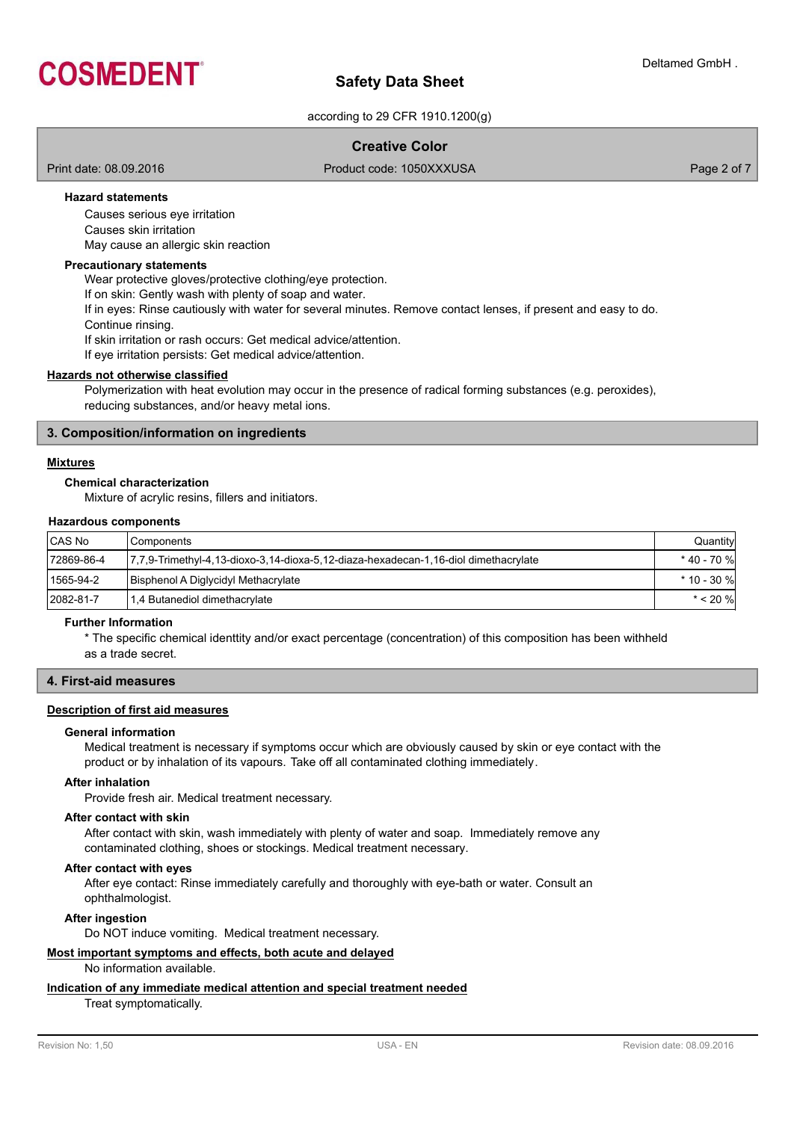

according to 29 CFR 1910.1200(g)

## **Creative Color**

Print date: 08.09.2016 **Product code: 1050XXXUSA** Product code: 1050XXXUSA Page 2 of 7

## **Hazard statements**

Causes serious eye irritation Causes skin irritation May cause an allergic skin reaction

### **Precautionary statements**

Wear protective gloves/protective clothing/eye protection. If on skin: Gently wash with plenty of soap and water. If in eyes: Rinse cautiously with water for several minutes. Remove contact lenses, if present and easy to do. Continue rinsing. If skin irritation or rash occurs: Get medical advice/attention. If eye irritation persists: Get medical advice/attention.

## **Hazards not otherwise classified**

Polymerization with heat evolution may occur in the presence of radical forming substances (e.g. peroxides), reducing substances, and/or heavy metal ions.

## **3. Composition/information on ingredients**

## **Mixtures**

## **Chemical characterization**

Mixture of acrylic resins, fillers and initiators.

#### **Hazardous components**

| CAS No     | l Components                                                                        | Quantity      |
|------------|-------------------------------------------------------------------------------------|---------------|
| 72869-86-4 | 7,7,9-Trimethyl-4,13-dioxo-3,14-dioxa-5,12-diaza-hexadecan-1,16-diol dimethacrylate | * 40 - 70 %   |
| 1565-94-2  | Bisphenol A Diglycidyl Methacrylate                                                 | $*$ 10 - 30 % |
| 2082-81-7  | 1,4 Butanediol dimethacrylate                                                       | $* < 20 \%$   |

#### **Further Information**

\* The specific chemical identtity and/or exact percentage (concentration) of this composition has been withheld as a trade secret.

## **4. First-aid measures**

## **Description of first aid measures**

#### **General information**

Medical treatment is necessary if symptoms occur which are obviously caused by skin or eye contact with the product or by inhalation of its vapours. Take off all contaminated clothing immediately.

## **After inhalation**

Provide fresh air. Medical treatment necessary.

#### **After contact with skin**

After contact with skin, wash immediately with plenty of water and soap. Immediately remove any contaminated clothing, shoes or stockings. Medical treatment necessary.

#### **After contact with eyes**

After eye contact: Rinse immediately carefully and thoroughly with eye-bath or water. Consult an ophthalmologist.

### **After ingestion**

Do NOT induce vomiting. Medical treatment necessary.

## **Most important symptoms and effects, both acute and delayed**

No information available.

# **Indication of any immediate medical attention and special treatment needed**

Treat symptomatically.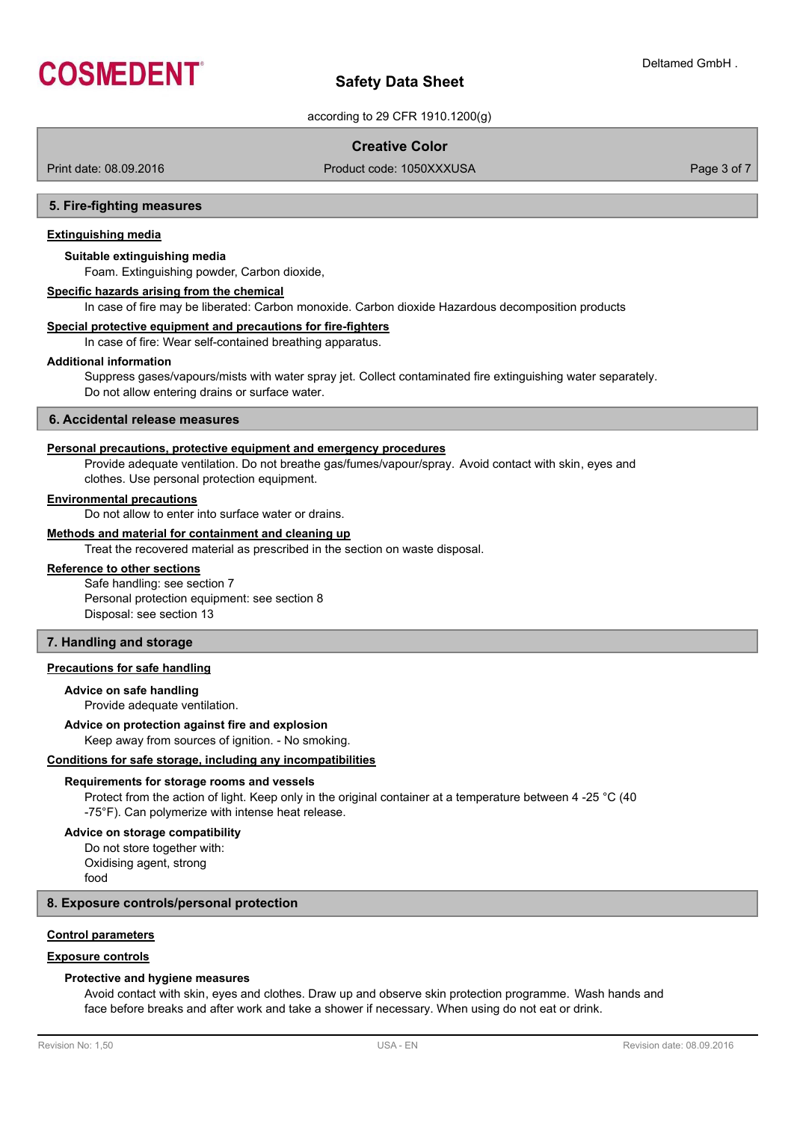

according to 29 CFR 1910.1200(g)

## **Creative Color**

Print date: 08.09.2016 **Product code: 1050XXXUSA** Product code: 1050XXXUSA

#### **5. Fire-fighting measures**

### **Extinguishing media**

#### **Suitable extinguishing media**

Foam. Extinguishing powder, Carbon dioxide,

#### **Specific hazards arising from the chemical**

In case of fire may be liberated: Carbon monoxide. Carbon dioxide Hazardous decomposition products

## **Special protective equipment and precautions for fire-fighters**

In case of fire: Wear self-contained breathing apparatus.

#### **Additional information**

Suppress gases/vapours/mists with water spray jet. Collect contaminated fire extinguishing water separately. Do not allow entering drains or surface water.

### **6. Accidental release measures**

#### **Personal precautions, protective equipment and emergency procedures**

Provide adequate ventilation. Do not breathe gas/fumes/vapour/spray. Avoid contact with skin, eyes and clothes. Use personal protection equipment.

## **Environmental precautions**

Do not allow to enter into surface water or drains.

## **Methods and material for containment and cleaning up**

Treat the recovered material as prescribed in the section on waste disposal.

## **Reference to other sections**

Safe handling: see section 7 Personal protection equipment: see section 8 Disposal: see section 13

## **7. Handling and storage**

## **Precautions for safe handling**

## **Advice on safe handling**

Provide adequate ventilation.

## **Advice on protection against fire and explosion**

Keep away from sources of ignition. - No smoking.

## **Conditions for safe storage, including any incompatibilities**

#### **Requirements for storage rooms and vessels**

Protect from the action of light. Keep only in the original container at a temperature between 4 -25 °C (40 -75°F). Can polymerize with intense heat release.

## **Advice on storage compatibility**

Do not store together with: Oxidising agent, strong food

#### **8. Exposure controls/personal protection**

## **Control parameters**

## **Exposure controls**

#### **Protective and hygiene measures**

Avoid contact with skin, eyes and clothes. Draw up and observe skin protection programme. Wash hands and face before breaks and after work and take a shower if necessary. When using do not eat or drink.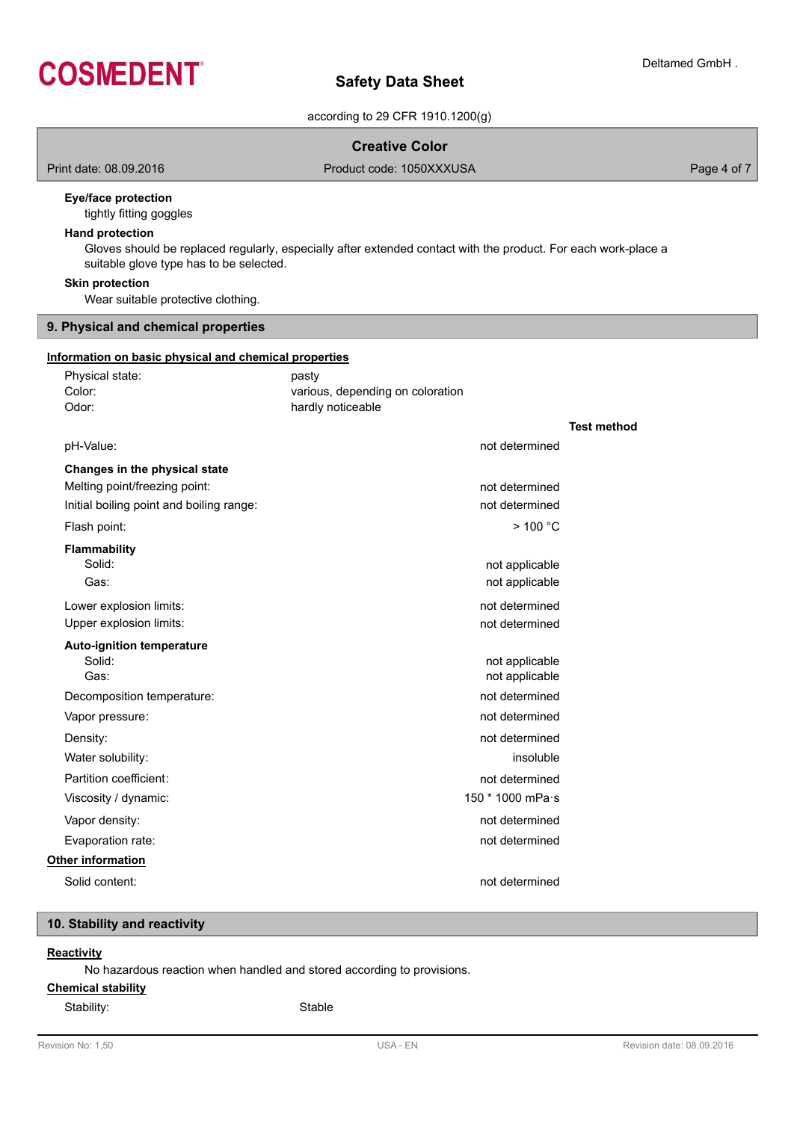

according to 29 CFR 1910.1200(g)

## **Creative Color**

Print date: 08.09.2016 **Product code: 1050XXXUSA** Product code: 1050XXXUSA Page 4 of 7

## **Eye/face protection**

tightly fitting goggles

## **Hand protection**

Gloves should be replaced regularly, especially after extended contact with the product. For each work-place a suitable glove type has to be selected.

## **Skin protection**

Wear suitable protective clothing.

## **9. Physical and chemical properties**

#### **Information on basic physical and chemical properties**

| Physical state:<br>Color:                | pasty<br>various, depending on coloration |                  |                    |
|------------------------------------------|-------------------------------------------|------------------|--------------------|
| Odor:                                    | hardly noticeable                         |                  |                    |
|                                          |                                           |                  | <b>Test method</b> |
| pH-Value:                                |                                           | not determined   |                    |
| Changes in the physical state            |                                           |                  |                    |
| Melting point/freezing point:            |                                           | not determined   |                    |
| Initial boiling point and boiling range: |                                           | not determined   |                    |
| Flash point:                             |                                           | $>$ 100 °C       |                    |
| <b>Flammability</b>                      |                                           |                  |                    |
| Solid:                                   |                                           | not applicable   |                    |
| Gas:                                     |                                           | not applicable   |                    |
| Lower explosion limits:                  |                                           | not determined   |                    |
| Upper explosion limits:                  |                                           | not determined   |                    |
| <b>Auto-ignition temperature</b>         |                                           |                  |                    |
| Solid:                                   |                                           | not applicable   |                    |
| Gas:                                     |                                           | not applicable   |                    |
| Decomposition temperature:               |                                           | not determined   |                    |
| Vapor pressure:                          |                                           | not determined   |                    |
| Density:                                 |                                           | not determined   |                    |
| Water solubility:                        |                                           | insoluble        |                    |
| Partition coefficient:                   |                                           | not determined   |                    |
| Viscosity / dynamic:                     |                                           | 150 * 1000 mPa·s |                    |
| Vapor density:                           |                                           | not determined   |                    |
| Evaporation rate:                        |                                           | not determined   |                    |
| <b>Other information</b>                 |                                           |                  |                    |
| Solid content:                           |                                           | not determined   |                    |
|                                          |                                           |                  |                    |

## **10. Stability and reactivity**

## **Reactivity**

No hazardous reaction when handled and stored according to provisions.

## **Chemical stability**

Stability: Stable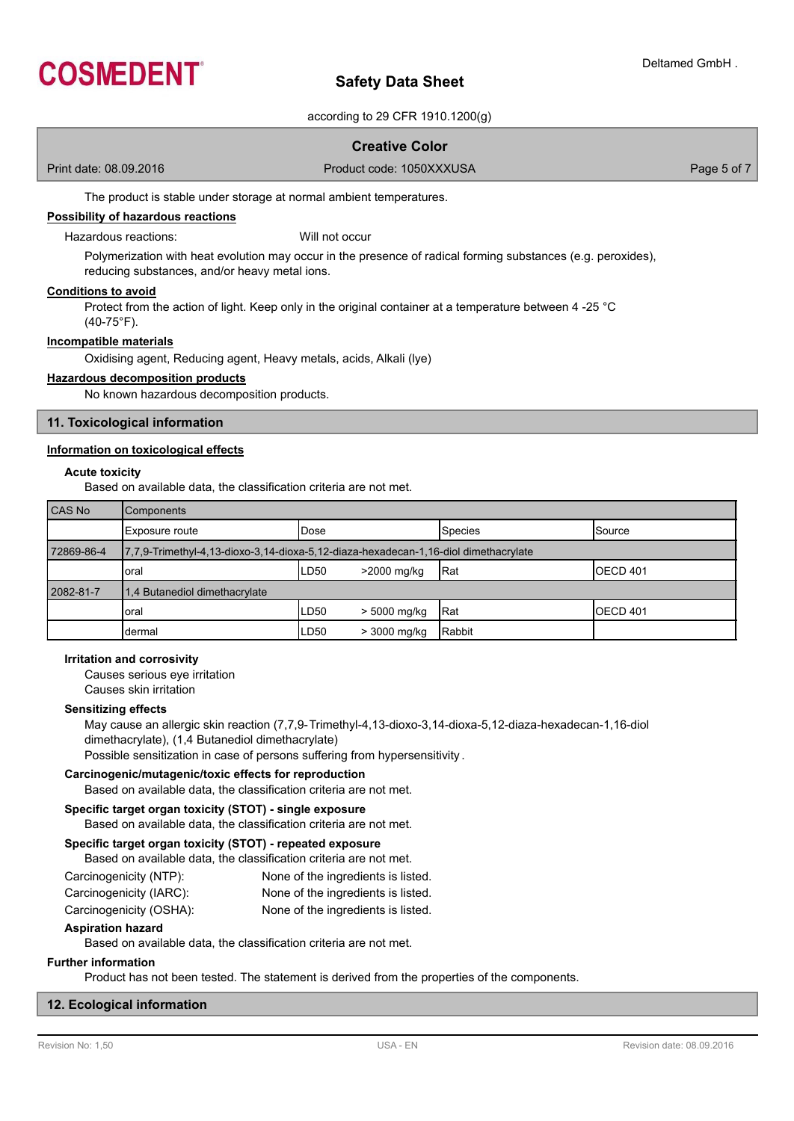

according to 29 CFR 1910.1200(g)

## **Creative Color**

Print date: 08.09.2016 **Product code: 1050XXXUSA** Product code: 1050XXXUSA

The product is stable under storage at normal ambient temperatures.

## **Possibility of hazardous reactions**

#### Hazardous reactions: Will not occur

Polymerization with heat evolution may occur in the presence of radical forming substances (e.g. peroxides), reducing substances, and/or heavy metal ions.

#### **Conditions to avoid**

Protect from the action of light. Keep only in the original container at a temperature between 4 -25 °C (40-75°F).

## **Incompatible materials**

Oxidising agent, Reducing agent, Heavy metals, acids, Alkali (lye)

#### **Hazardous decomposition products**

No known hazardous decomposition products.

## **11. Toxicological information**

#### **Information on toxicological effects**

### **Acute toxicity**

Based on available data, the classification criteria are not met.

| CAS No     | Components                                                                          |       |              |            |                  |
|------------|-------------------------------------------------------------------------------------|-------|--------------|------------|------------------|
|            | Exposure route                                                                      | lDose |              | Species    | <b>ISource</b>   |
| 72869-86-4 | 7,7,9-Trimethyl-4,13-dioxo-3,14-dioxa-5,12-diaza-hexadecan-1,16-diol dimethacrylate |       |              |            |                  |
|            | oral                                                                                | LD50  | >2000 mg/kg  | <b>Rat</b> | <b>IOECD 401</b> |
| 2082-81-7  | 1.4 Butanediol dimethacrylate                                                       |       |              |            |                  |
|            | oral                                                                                | LD50  | > 5000 mg/kg | lRat       | OECD 401         |
|            | dermal                                                                              | LD50  | > 3000 mg/kg | Rabbit     |                  |

### **Irritation and corrosivity**

Causes serious eye irritation

Causes skin irritation

## **Sensitizing effects**

May cause an allergic skin reaction (7,7,9-Trimethyl-4,13-dioxo-3,14-dioxa-5,12-diaza-hexadecan-1,16-diol dimethacrylate), (1,4 Butanediol dimethacrylate) Possible sensitization in case of persons suffering from hypersensitivity .

### **Carcinogenic/mutagenic/toxic effects for reproduction**

Based on available data, the classification criteria are not met.

## **Specific target organ toxicity (STOT) - single exposure**

Based on available data, the classification criteria are not met.

# **Specific target organ toxicity (STOT) - repeated exposure**

Based on available data, the classification criteria are not met. Carcinogenicity (NTP): None of the ingredients is listed.

| 0                       | <b>TOTO OF THE IMPORTANCE IS ISSUED.</b> |
|-------------------------|------------------------------------------|
| Carcinogenicity (IARC): | None of the ingredients is listed.       |

Carcinogenicity (OSHA): None of the ingredients is listed.

## **Aspiration hazard**

Based on available data, the classification criteria are not met.

## **Further information**

Product has not been tested. The statement is derived from the properties of the components.

### **12. Ecological information**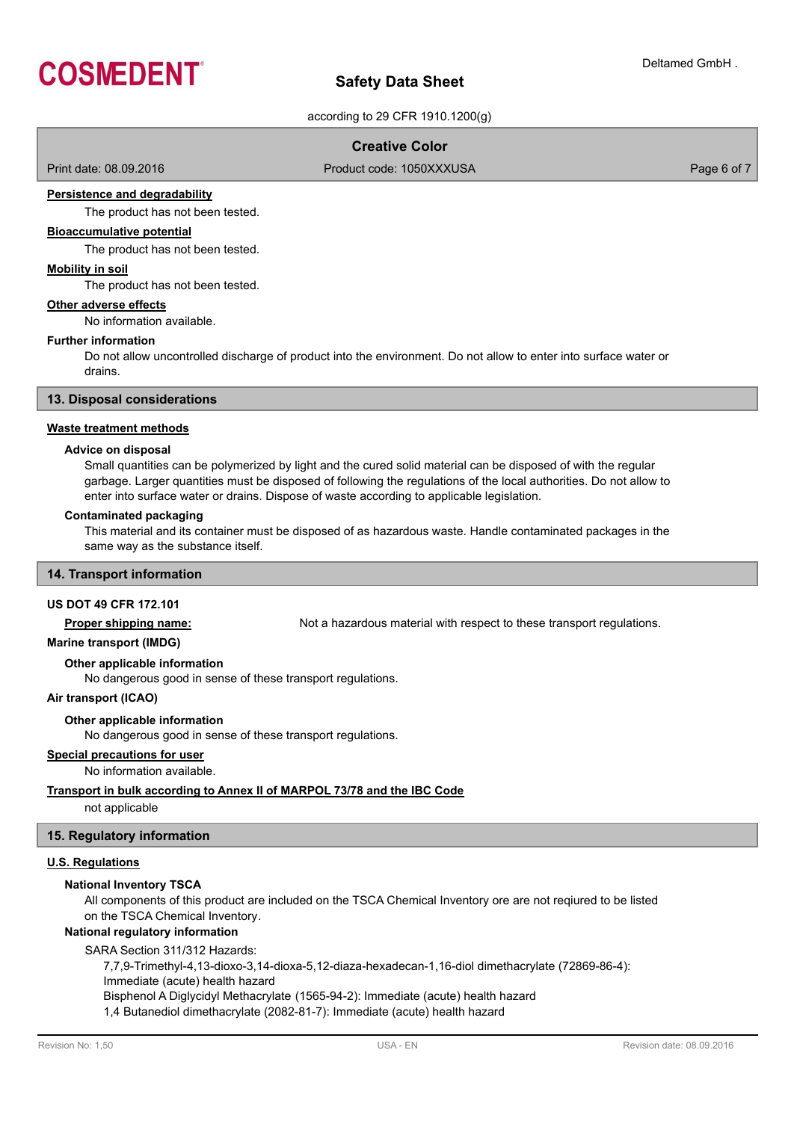

according to 29 CFR 1910.1200(g)

## **Creative Color**

Print date: 08.09.2016 **Product code: 1050XXXUSA** Product code: 1050XXXUSA Page 6 of 7

#### **Persistence and degradability**

The product has not been tested.

## **Bioaccumulative potential**

The product has not been tested.

## **Mobility in soil**

The product has not been tested.

#### **Other adverse effects**

No information available.

#### **Further information**

Do not allow uncontrolled discharge of product into the environment. Do not allow to enter into surface water or drains.

## **13. Disposal considerations**

#### **Waste treatment methods**

#### **Advice on disposal**

Small quantities can be polymerized by light and the cured solid material can be disposed of with the regular garbage. Larger quantities must be disposed of following the regulations of the local authorities. Do not allow to enter into surface water or drains. Dispose of waste according to applicable legislation.

#### **Contaminated packaging**

This material and its container must be disposed of as hazardous waste. Handle contaminated packages in the same way as the substance itself.

## **14. Transport information**

### **US DOT 49 CFR 172.101**

**Proper shipping name:** Not a hazardous material with respect to these transport regulations.

## **Marine transport (IMDG)**

#### **Other applicable information**

No dangerous good in sense of these transport regulations.

#### **Air transport (ICAO)**

#### **Other applicable information**

No dangerous good in sense of these transport regulations.

## **Special precautions for user**

No information available.

## **Transport in bulk according to Annex II of MARPOL 73/78 and the IBC Code**

not applicable

### **15. Regulatory information**

## **U.S. Regulations**

## **National Inventory TSCA**

All components of this product are included on the TSCA Chemical Inventory ore are not reqiured to be listed on the TSCA Chemical Inventory.

## **National regulatory information**

SARA Section 311/312 Hazards:

7,7,9-Trimethyl-4,13-dioxo-3,14-dioxa-5,12-diaza-hexadecan-1,16-diol dimethacrylate (72869-86-4):

Immediate (acute) health hazard

Bisphenol A Diglycidyl Methacrylate (1565-94-2): Immediate (acute) health hazard

1,4 Butanediol dimethacrylate (2082-81-7): Immediate (acute) health hazard